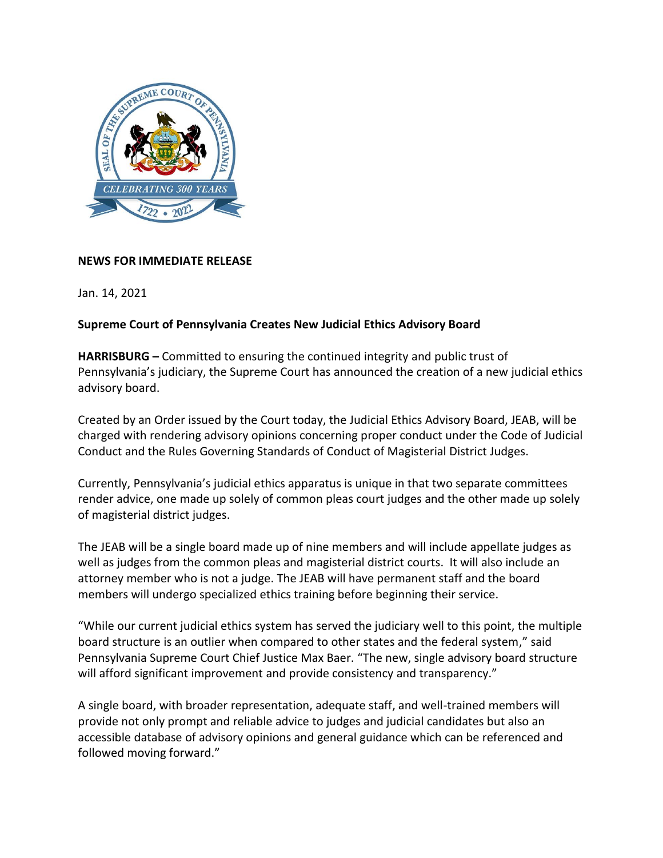

#### **NEWS FOR IMMEDIATE RELEASE**

Jan. 14, 2021

#### **Supreme Court of Pennsylvania Creates New Judicial Ethics Advisory Board**

**HARRISBURG –** Committed to ensuring the continued integrity and public trust of Pennsylvania's judiciary, the Supreme Court has announced the creation of a new judicial ethics advisory board.

Created by an Order issued by the Court today, the Judicial Ethics Advisory Board, JEAB, will be charged with rendering advisory opinions concerning proper conduct under the Code of Judicial Conduct and the Rules Governing Standards of Conduct of Magisterial District Judges.

Currently, Pennsylvania's judicial ethics apparatus is unique in that two separate committees render advice, one made up solely of common pleas court judges and the other made up solely of magisterial district judges.

The JEAB will be a single board made up of nine members and will include appellate judges as well as judges from the common pleas and magisterial district courts. It will also include an attorney member who is not a judge. The JEAB will have permanent staff and the board members will undergo specialized ethics training before beginning their service.

"While our current judicial ethics system has served the judiciary well to this point, the multiple board structure is an outlier when compared to other states and the federal system," said Pennsylvania Supreme Court Chief Justice Max Baer. "The new, single advisory board structure will afford significant improvement and provide consistency and transparency."

A single board, with broader representation, adequate staff, and well-trained members will provide not only prompt and reliable advice to judges and judicial candidates but also an accessible database of advisory opinions and general guidance which can be referenced and followed moving forward."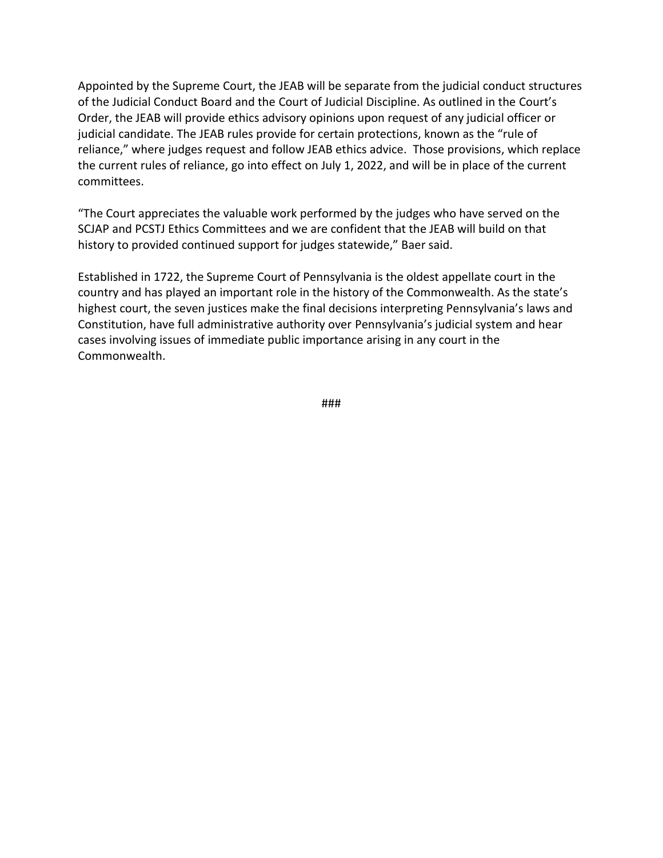Appointed by the Supreme Court, the JEAB will be separate from the judicial conduct structures of the Judicial Conduct Board and the Court of Judicial Discipline. As outlined in the Court's Order, the JEAB will provide ethics advisory opinions upon request of any judicial officer or judicial candidate. The JEAB rules provide for certain protections, known as the "rule of reliance," where judges request and follow JEAB ethics advice. Those provisions, which replace the current rules of reliance, go into effect on July 1, 2022, and will be in place of the current committees.

"The Court appreciates the valuable work performed by the judges who have served on the SCJAP and PCSTJ Ethics Committees and we are confident that the JEAB will build on that history to provided continued support for judges statewide," Baer said.

Established in 1722, the Supreme Court of Pennsylvania is the oldest appellate court in the country and has played an important role in the history of the Commonwealth. As the state's highest court, the seven justices make the final decisions interpreting Pennsylvania's laws and Constitution, have full administrative authority over Pennsylvania's judicial system and hear cases involving issues of immediate public importance arising in any court in the Commonwealth.

###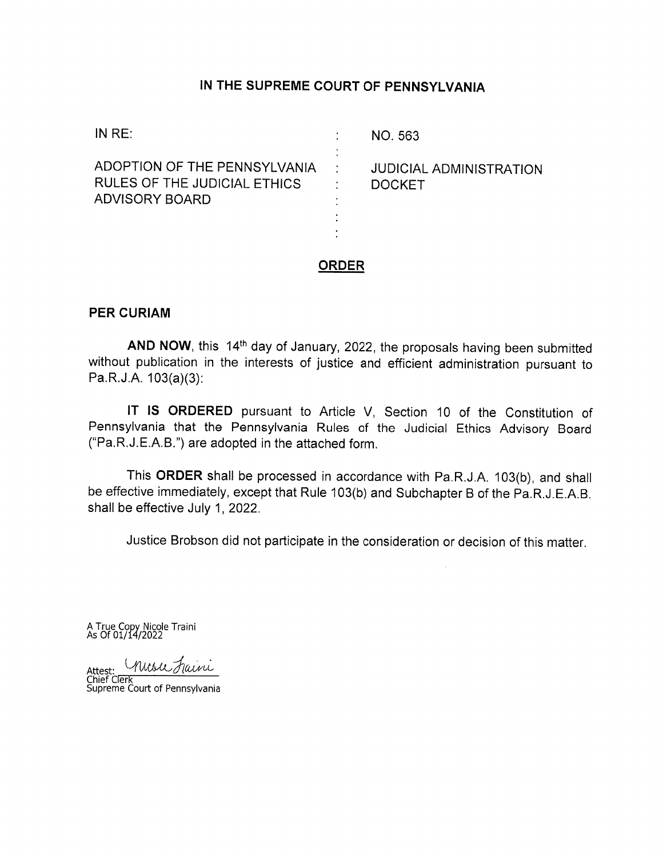#### IN THE SUPREME COURT OF PENNSYLVANIA

| ADOPTION OF THE PENNSYLVANIA                                                                                        |  |
|---------------------------------------------------------------------------------------------------------------------|--|
| <b>JUDICIAL ADMINISTRATION</b><br>RULES OF THE JUDICIAL ETHICS<br><b>DOCKET</b><br>ADVISORY BOARD<br>$\blacksquare$ |  |

#### **ORDER**

#### **PER CURIAM**

AND NOW, this 14<sup>th</sup> day of January, 2022, the proposals having been submitted without publication in the interests of justice and efficient administration pursuant to Pa.R.J.A. 103(a)(3):

IT IS ORDERED pursuant to Article V, Section 10 of the Constitution of Pennsylvania that the Pennsylvania Rules of the Judicial Ethics Advisory Board ("Pa.R.J.E.A.B.") are adopted in the attached form.

This ORDER shall be processed in accordance with Pa.R.J.A. 103(b), and shall be effective immediately, except that Rule 103(b) and Subchapter B of the Pa.R.J.E.A.B. shall be effective July 1, 2022.

Justice Brobson did not participate in the consideration or decision of this matter.

A True Copy Nicole Traini<br>As Of 01/14/2022

Misic Faini Attest:

Chief Clerk<br>Supreme Court of Pennsylvania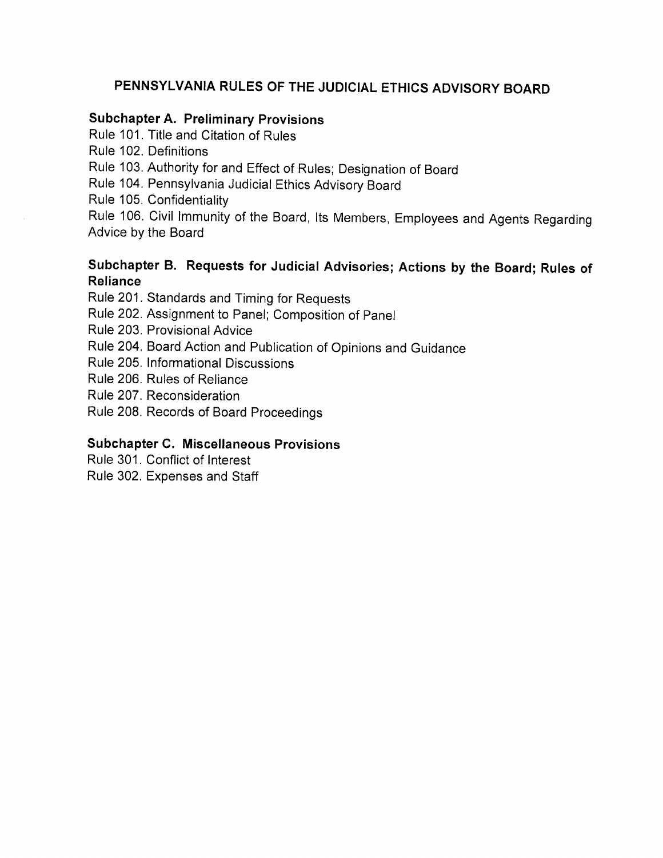# PENNSYLVANIA RULES OF THE JUDICIAL ETHICS ADVISORY BOARD

# **Subchapter A. Preliminary Provisions**

Rule 101. Title and Citation of Rules

Rule 102. Definitions

Rule 103. Authority for and Effect of Rules; Designation of Board

Rule 104. Pennsylvania Judicial Ethics Advisory Board

Rule 105. Confidentiality

Rule 106. Civil Immunity of the Board, Its Members, Employees and Agents Regarding Advice by the Board

# Subchapter B. Requests for Judicial Advisories; Actions by the Board; Rules of **Reliance**

Rule 201. Standards and Timing for Requests

Rule 202. Assignment to Panel; Composition of Panel

Rule 203. Provisional Advice

Rule 204. Board Action and Publication of Opinions and Guidance

Rule 205. Informational Discussions

Rule 206. Rules of Reliance

Rule 207. Reconsideration

Rule 208. Records of Board Proceedings

## **Subchapter C. Miscellaneous Provisions**

Rule 301. Conflict of Interest

Rule 302. Expenses and Staff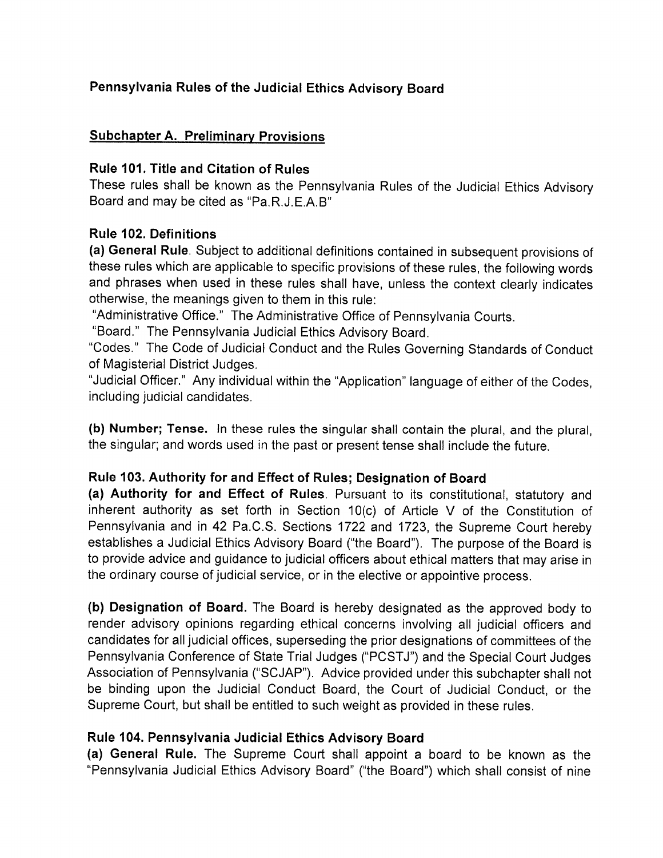# Pennsylvania Rules of the Judicial Ethics Advisory Board

#### **Subchapter A. Preliminary Provisions**

#### **Rule 101. Title and Citation of Rules**

These rules shall be known as the Pennsylvania Rules of the Judicial Ethics Advisory Board and may be cited as "Pa.R.J.E.A.B"

#### Rule 102. Definitions

(a) General Rule. Subject to additional definitions contained in subsequent provisions of these rules which are applicable to specific provisions of these rules, the following words and phrases when used in these rules shall have, unless the context clearly indicates otherwise, the meanings given to them in this rule:

"Administrative Office." The Administrative Office of Pennsylvania Courts.

"Board." The Pennsylvania Judicial Ethics Advisory Board.

"Codes." The Code of Judicial Conduct and the Rules Governing Standards of Conduct of Magisterial District Judges.

"Judicial Officer." Any individual within the "Application" language of either of the Codes, including judicial candidates.

(b) Number; Tense. In these rules the singular shall contain the plural, and the plural. the singular; and words used in the past or present tense shall include the future.

#### Rule 103. Authority for and Effect of Rules; Designation of Board

(a) Authority for and Effect of Rules. Pursuant to its constitutional, statutory and inherent authority as set forth in Section 10(c) of Article V of the Constitution of Pennsylvania and in 42 Pa.C.S. Sections 1722 and 1723, the Supreme Court hereby establishes a Judicial Ethics Advisory Board ("the Board"). The purpose of the Board is to provide advice and guidance to judicial officers about ethical matters that may arise in the ordinary course of judicial service, or in the elective or appointive process.

(b) Designation of Board. The Board is hereby designated as the approved body to render advisory opinions regarding ethical concerns involving all judicial officers and candidates for all judicial offices, superseding the prior designations of committees of the Pennsylvania Conference of State Trial Judges ("PCSTJ") and the Special Court Judges Association of Pennsylvania ("SCJAP"). Advice provided under this subchapter shall not be binding upon the Judicial Conduct Board, the Court of Judicial Conduct, or the Supreme Court, but shall be entitled to such weight as provided in these rules.

## Rule 104. Pennsylvania Judicial Ethics Advisory Board

(a) General Rule. The Supreme Court shall appoint a board to be known as the "Pennsylvania Judicial Ethics Advisory Board" ("the Board") which shall consist of nine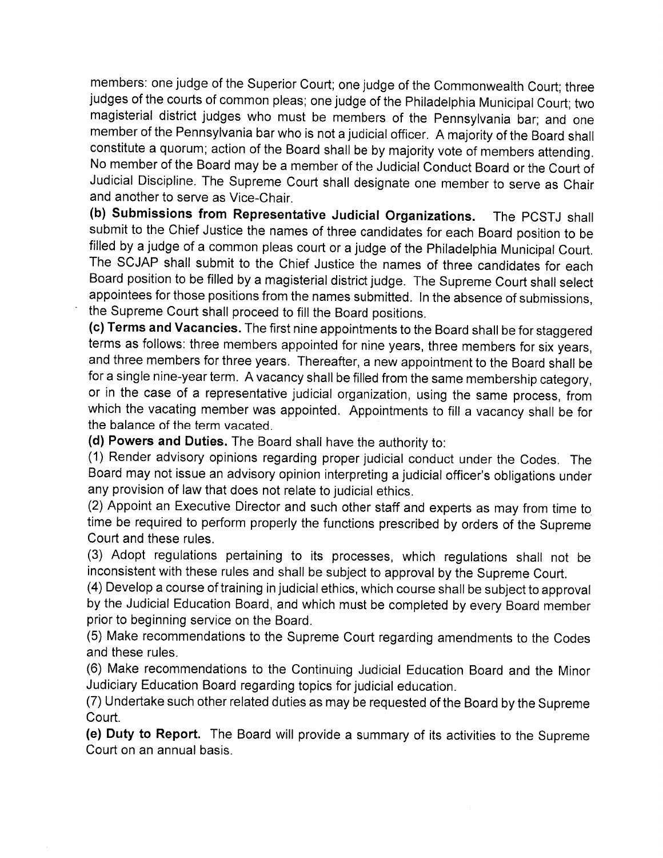members: one judge of the Superior Court; one judge of the Commonwealth Court; three judges of the courts of common pleas; one judge of the Philadelphia Municipal Court; two magisterial district judges who must be members of the Pennsylvania bar; and one member of the Pennsylvania bar who is not a judicial officer. A majority of the Board shall constitute a quorum; action of the Board shall be by majority vote of members attending. No member of the Board may be a member of the Judicial Conduct Board or the Court of Judicial Discipline. The Supreme Court shall designate one member to serve as Chair and another to serve as Vice-Chair.

(b) Submissions from Representative Judicial Organizations. The PCSTJ shall submit to the Chief Justice the names of three candidates for each Board position to be filled by a judge of a common pleas court or a judge of the Philadelphia Municipal Court. The SCJAP shall submit to the Chief Justice the names of three candidates for each Board position to be filled by a magisterial district judge. The Supreme Court shall select appointees for those positions from the names submitted. In the absence of submissions, the Supreme Court shall proceed to fill the Board positions.

(c) Terms and Vacancies. The first nine appointments to the Board shall be for staggered terms as follows: three members appointed for nine years, three members for six years, and three members for three years. Thereafter, a new appointment to the Board shall be for a single nine-year term. A vacancy shall be filled from the same membership category, or in the case of a representative judicial organization, using the same process, from which the vacating member was appointed. Appointments to fill a vacancy shall be for the balance of the term vacated.

(d) Powers and Duties. The Board shall have the authority to:

(1) Render advisory opinions regarding proper judicial conduct under the Codes. The Board may not issue an advisory opinion interpreting a judicial officer's obligations under any provision of law that does not relate to judicial ethics.

(2) Appoint an Executive Director and such other staff and experts as may from time to time be required to perform properly the functions prescribed by orders of the Supreme Court and these rules.

(3) Adopt regulations pertaining to its processes, which regulations shall not be inconsistent with these rules and shall be subject to approval by the Supreme Court.

(4) Develop a course of training in judicial ethics, which course shall be subject to approval by the Judicial Education Board, and which must be completed by every Board member prior to beginning service on the Board.

(5) Make recommendations to the Supreme Court regarding amendments to the Codes and these rules.

(6) Make recommendations to the Continuing Judicial Education Board and the Minor Judiciary Education Board regarding topics for judicial education.

(7) Undertake such other related duties as may be requested of the Board by the Supreme Court.

(e) Duty to Report. The Board will provide a summary of its activities to the Supreme Court on an annual basis.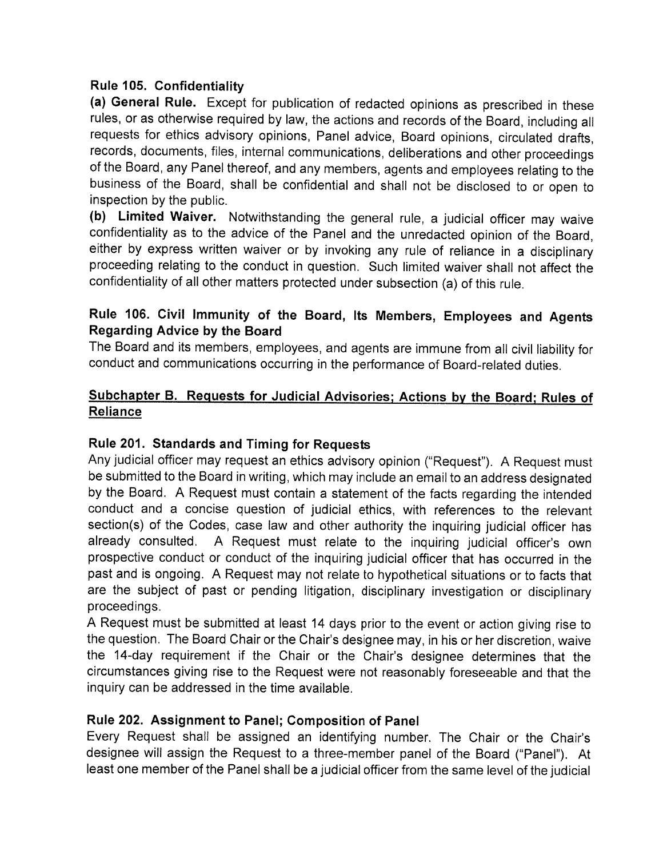## Rule 105. Confidentiality

(a) General Rule. Except for publication of redacted opinions as prescribed in these rules, or as otherwise required by law, the actions and records of the Board, including all requests for ethics advisory opinions, Panel advice, Board opinions, circulated drafts, records, documents, files, internal communications, deliberations and other proceedings of the Board, any Panel thereof, and any members, agents and employees relating to the business of the Board, shall be confidential and shall not be disclosed to or open to inspection by the public.

(b) Limited Waiver. Notwithstanding the general rule, a judicial officer may waive confidentiality as to the advice of the Panel and the unredacted opinion of the Board, either by express written waiver or by invoking any rule of reliance in a disciplinary proceeding relating to the conduct in question. Such limited waiver shall not affect the confidentiality of all other matters protected under subsection (a) of this rule.

## Rule 106. Civil Immunity of the Board, Its Members, Employees and Agents **Regarding Advice by the Board**

The Board and its members, employees, and agents are immune from all civil liability for conduct and communications occurring in the performance of Board-related duties.

## Subchapter B. Requests for Judicial Advisories; Actions by the Board; Rules of Reliance

## Rule 201. Standards and Timing for Requests

Any judicial officer may request an ethics advisory opinion ("Request"). A Request must be submitted to the Board in writing, which may include an email to an address designated by the Board. A Request must contain a statement of the facts regarding the intended conduct and a concise question of judicial ethics, with references to the relevant section(s) of the Codes, case law and other authority the inquiring judicial officer has A Request must relate to the inquiring judicial officer's own already consulted. prospective conduct or conduct of the inquiring judicial officer that has occurred in the past and is ongoing. A Request may not relate to hypothetical situations or to facts that are the subject of past or pending litigation, disciplinary investigation or disciplinary proceedings.

A Request must be submitted at least 14 days prior to the event or action giving rise to the question. The Board Chair or the Chair's designee may, in his or her discretion, waive the 14-day requirement if the Chair or the Chair's designee determines that the circumstances giving rise to the Request were not reasonably foreseeable and that the inquiry can be addressed in the time available.

## Rule 202. Assignment to Panel; Composition of Panel

Every Request shall be assigned an identifying number. The Chair or the Chair's designee will assign the Request to a three-member panel of the Board ("Panel"). At least one member of the Panel shall be a judicial officer from the same level of the judicial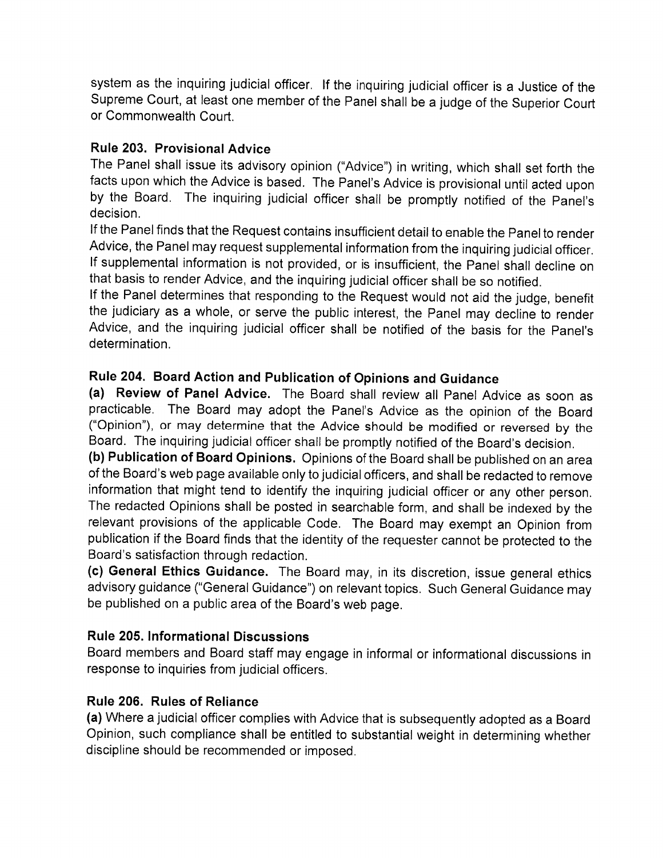system as the inquiring judicial officer. If the inquiring judicial officer is a Justice of the Supreme Court, at least one member of the Panel shall be a judge of the Superior Court or Commonwealth Court.

# Rule 203. Provisional Advice

The Panel shall issue its advisory opinion ("Advice") in writing, which shall set forth the facts upon which the Advice is based. The Panel's Advice is provisional until acted upon by the Board. The inquiring judicial officer shall be promptly notified of the Panel's decision.

If the Panel finds that the Request contains insufficient detail to enable the Panel to render Advice, the Panel may request supplemental information from the inquiring judicial officer. If supplemental information is not provided, or is insufficient, the Panel shall decline on that basis to render Advice, and the inquiring judicial officer shall be so notified.

If the Panel determines that responding to the Request would not aid the judge, benefit the judiciary as a whole, or serve the public interest, the Panel may decline to render Advice, and the inquiring judicial officer shall be notified of the basis for the Panel's determination.

# Rule 204. Board Action and Publication of Opinions and Guidance

(a) Review of Panel Advice. The Board shall review all Panel Advice as soon as practicable. The Board may adopt the Panel's Advice as the opinion of the Board ("Opinion"), or may determine that the Advice should be modified or reversed by the Board. The inquiring judicial officer shall be promptly notified of the Board's decision.

(b) Publication of Board Opinions. Opinions of the Board shall be published on an area of the Board's web page available only to judicial officers, and shall be redacted to remove information that might tend to identify the inquiring judicial officer or any other person. The redacted Opinions shall be posted in searchable form, and shall be indexed by the relevant provisions of the applicable Code. The Board may exempt an Opinion from publication if the Board finds that the identity of the requester cannot be protected to the Board's satisfaction through redaction.

(c) General Ethics Guidance. The Board may, in its discretion, issue general ethics advisory guidance ("General Guidance") on relevant topics. Such General Guidance may be published on a public area of the Board's web page.

# **Rule 205. Informational Discussions**

Board members and Board staff may engage in informal or informational discussions in response to inquiries from judicial officers.

# Rule 206. Rules of Reliance

(a) Where a judicial officer complies with Advice that is subsequently adopted as a Board Opinion, such compliance shall be entitled to substantial weight in determining whether discipline should be recommended or imposed.